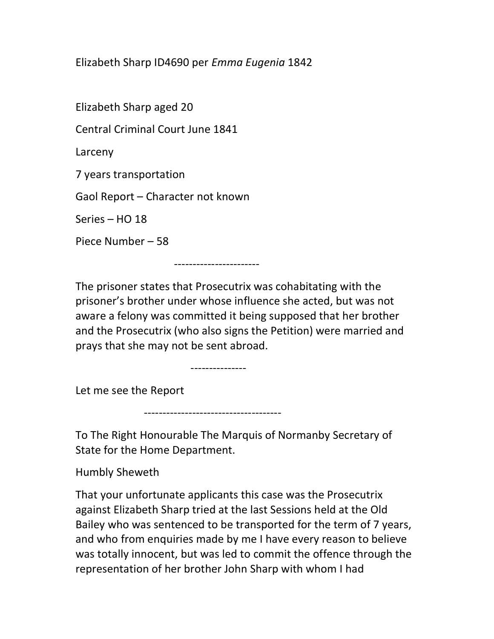Elizabeth Sharp ID4690 per Emma Eugenia 1842

Elizabeth Sharp aged 20 Central Criminal Court June 1841 Larceny 7 years transportation Gaol Report – Character not known Series – HO 18 Piece Number – 58

-----------------------

---------------

The prisoner states that Prosecutrix was cohabitating with the prisoner's brother under whose influence she acted, but was not aware a felony was committed it being supposed that her brother and the Prosecutrix (who also signs the Petition) were married and prays that she may not be sent abroad.

Let me see the Report

-------------------------------------

To The Right Honourable The Marquis of Normanby Secretary of State for the Home Department.

Humbly Sheweth

That your unfortunate applicants this case was the Prosecutrix against Elizabeth Sharp tried at the last Sessions held at the Old Bailey who was sentenced to be transported for the term of 7 years, and who from enquiries made by me I have every reason to believe was totally innocent, but was led to commit the offence through the representation of her brother John Sharp with whom I had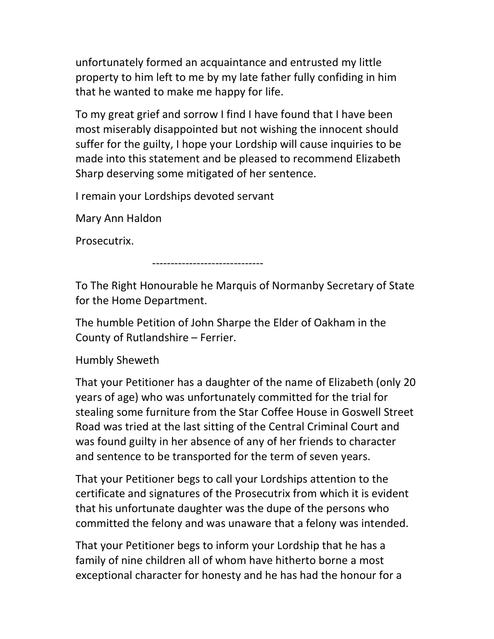unfortunately formed an acquaintance and entrusted my little property to him left to me by my late father fully confiding in him that he wanted to make me happy for life.

To my great grief and sorrow I find I have found that I have been most miserably disappointed but not wishing the innocent should suffer for the guilty, I hope your Lordship will cause inquiries to be made into this statement and be pleased to recommend Elizabeth Sharp deserving some mitigated of her sentence.

I remain your Lordships devoted servant

Mary Ann Haldon

Prosecutrix.

------------------------------

To The Right Honourable he Marquis of Normanby Secretary of State for the Home Department.

The humble Petition of John Sharpe the Elder of Oakham in the County of Rutlandshire – Ferrier.

## Humbly Sheweth

That your Petitioner has a daughter of the name of Elizabeth (only 20 years of age) who was unfortunately committed for the trial for stealing some furniture from the Star Coffee House in Goswell Street Road was tried at the last sitting of the Central Criminal Court and was found guilty in her absence of any of her friends to character and sentence to be transported for the term of seven years.

That your Petitioner begs to call your Lordships attention to the certificate and signatures of the Prosecutrix from which it is evident that his unfortunate daughter was the dupe of the persons who committed the felony and was unaware that a felony was intended.

That your Petitioner begs to inform your Lordship that he has a family of nine children all of whom have hitherto borne a most exceptional character for honesty and he has had the honour for a